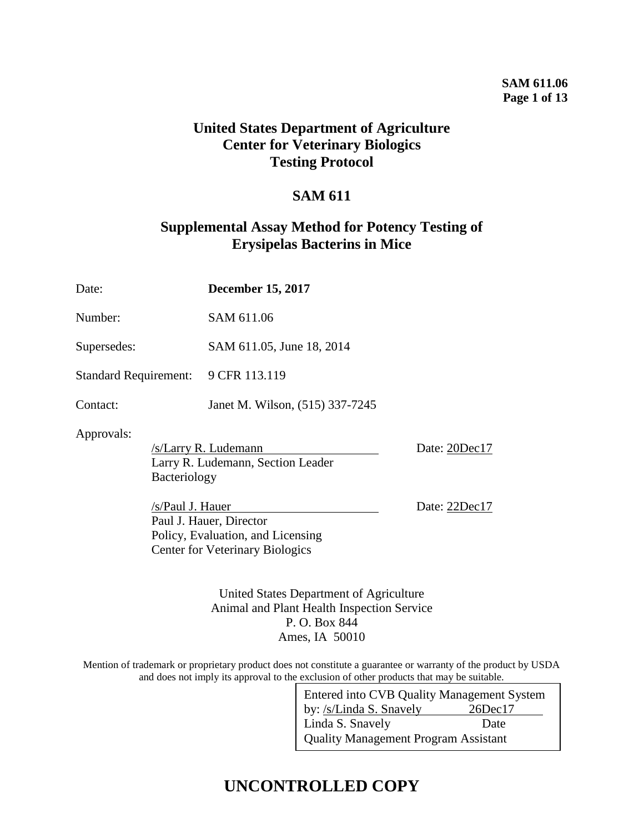### **SAM 611.06 Page 1 of 13**

## **United States Department of Agriculture Center for Veterinary Biologics Testing Protocol**

## **SAM 611**

## **Supplemental Assay Method for Potency Testing of Erysipelas Bacterins in Mice**

| Date:                        | <b>December 15, 2017</b>                                                                                                                                                                |                                |  |  |  |  |
|------------------------------|-----------------------------------------------------------------------------------------------------------------------------------------------------------------------------------------|--------------------------------|--|--|--|--|
| Number:                      | SAM 611.06                                                                                                                                                                              |                                |  |  |  |  |
| Supersedes:                  | SAM 611.05, June 18, 2014                                                                                                                                                               |                                |  |  |  |  |
| <b>Standard Requirement:</b> | 9 CFR 113.119                                                                                                                                                                           |                                |  |  |  |  |
| Contact:                     | Janet M. Wilson, (515) 337-7245                                                                                                                                                         |                                |  |  |  |  |
| Approvals:<br>Bacteriology   | /s/Larry R. Ludemann<br>Larry R. Ludemann, Section Leader<br>/s/Paul J. Hauer<br>Paul J. Hauer, Director<br>Policy, Evaluation, and Licensing<br><b>Center for Veterinary Biologics</b> | Date: 20Dec17<br>Date: 22Dec17 |  |  |  |  |

United States Department of Agriculture Animal and Plant Health Inspection Service P. O. Box 844 Ames, IA 50010

Mention of trademark or proprietary product does not constitute a guarantee or warranty of the product by USDA and does not imply its approval to the exclusion of other products that may be suitable.

| Entered into CVB Quality Management System  |               |  |  |  |  |  |
|---------------------------------------------|---------------|--|--|--|--|--|
| by: /s/Linda S. Snavely                     | $26$ Dec $17$ |  |  |  |  |  |
| Linda S. Snavely                            | Date          |  |  |  |  |  |
| <b>Quality Management Program Assistant</b> |               |  |  |  |  |  |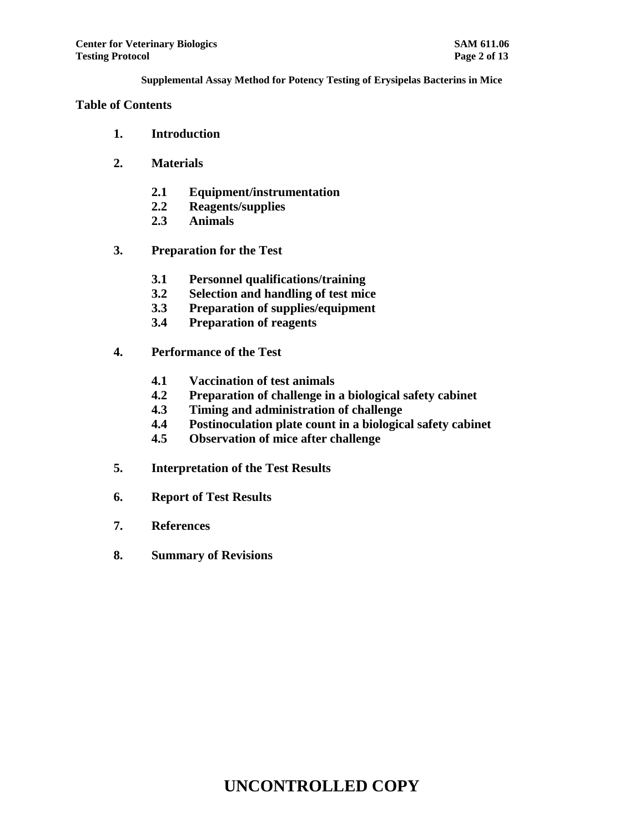## **Table of Contents**

- **1. Introduction**
- **2. Materials**
	- **2.1 Equipment/instrumentation**
	- **2.2 Reagents/supplies**
	- **2.3 Animals**
- **3. Preparation for the Test**
	- **3.1 Personnel qualifications/training**
	- **3.2 Selection and handling of test mice**
	- **3.3 Preparation of supplies/equipment**
	- **3.4 Preparation of reagents**
- **4. Performance of the Test**
	- **4.1 Vaccination of test animals**
	- **4.2 Preparation of challenge in a biological safety cabinet**
	- **4.3 Timing and administration of challenge**
	- **4.4 Postinoculation plate count in a biological safety cabinet**
	- **4.5 Observation of mice after challenge**
- **5. Interpretation of the Test Results**
- **6. Report of Test Results**
- **7. References**
- **8. Summary of Revisions**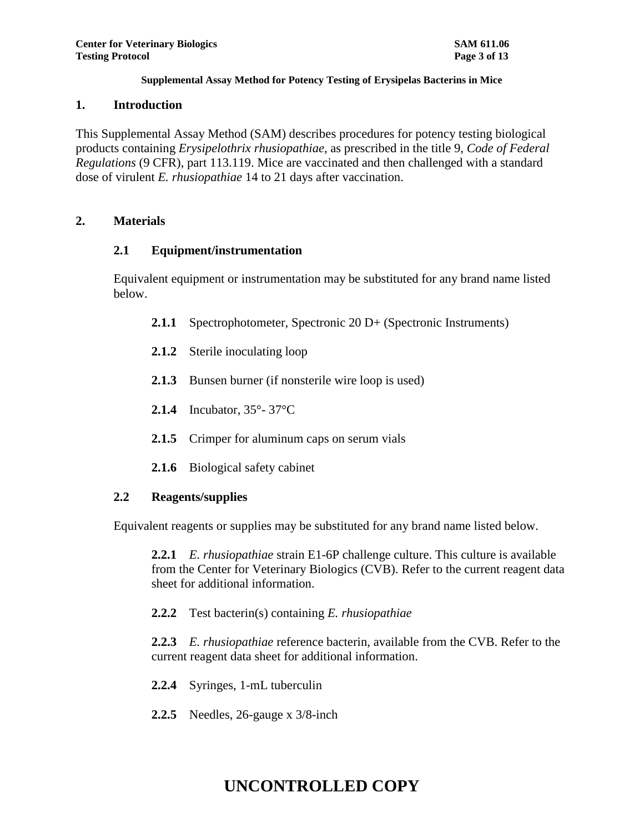### **1. Introduction**

This Supplemental Assay Method (SAM) describes procedures for potency testing biological products containing *Erysipelothrix rhusiopathiae*, as prescribed in the title 9, *Code of Federal Regulations* (9 CFR), part 113.119. Mice are vaccinated and then challenged with a standard dose of virulent *E. rhusiopathiae* 14 to 21 days after vaccination.

## **2. Materials**

## **2.1 Equipment/instrumentation**

Equivalent equipment or instrumentation may be substituted for any brand name listed below.

- **2.1.1** Spectrophotometer, Spectronic 20 D+ (Spectronic Instruments)
- **2.1.2** Sterile inoculating loop
- **2.1.3** Bunsen burner (if nonsterile wire loop is used)
- **2.1.4** Incubator, 35°- 37°C
- **2.1.5** Crimper for aluminum caps on serum vials
- **2.1.6** Biological safety cabinet

## **2.2 Reagents/supplies**

Equivalent reagents or supplies may be substituted for any brand name listed below.

**2.2.1** *E. rhusiopathiae* strain E1-6P challenge culture. This culture is available from the Center for Veterinary Biologics (CVB). Refer to the current reagent data sheet for additional information.

**2.2.2** Test bacterin(s) containing *E. rhusiopathiae*

**2.2.3** *E. rhusiopathiae* reference bacterin, available from the CVB. Refer to the current reagent data sheet for additional information.

- **2.2.4** Syringes, 1-mL tuberculin
- **2.2.5** Needles, 26-gauge x 3/8-inch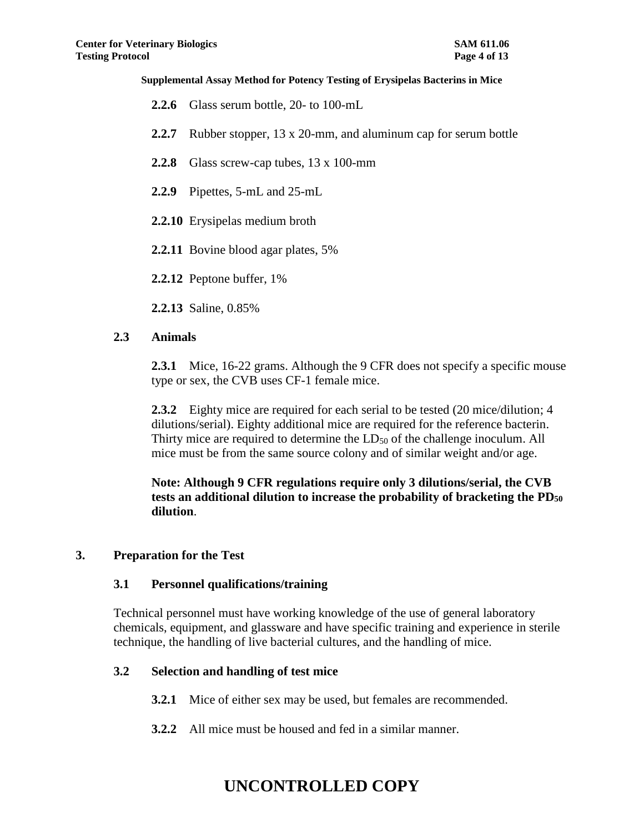- **2.2.6** Glass serum bottle, 20- to 100-mL
- **2.2.7** Rubber stopper, 13 x 20-mm, and aluminum cap for serum bottle
- **2.2.8** Glass screw-cap tubes, 13 x 100-mm
- **2.2.9** Pipettes, 5-mL and 25-mL
- **2.2.10** Erysipelas medium broth
- **2.2.11** Bovine blood agar plates, 5%

**2.2.12** Peptone buffer, 1%

**2.2.13** Saline, 0.85%

### **2.3 Animals**

**2.3.1** Mice, 16-22 grams. Although the 9 CFR does not specify a specific mouse type or sex, the CVB uses CF-1 female mice.

**2.3.2** Eighty mice are required for each serial to be tested (20 mice/dilution; 4 dilutions/serial). Eighty additional mice are required for the reference bacterin. Thirty mice are required to determine the LD<sub>50</sub> of the challenge inoculum. All mice must be from the same source colony and of similar weight and/or age.

**Note: Although 9 CFR regulations require only 3 dilutions/serial, the CVB tests an additional dilution to increase the probability of bracketing the PD<sup>50</sup> dilution**.

### **3. Preparation for the Test**

## **3.1 Personnel qualifications/training**

Technical personnel must have working knowledge of the use of general laboratory chemicals, equipment, and glassware and have specific training and experience in sterile technique, the handling of live bacterial cultures, and the handling of mice.

## **3.2 Selection and handling of test mice**

- **3.2.1** Mice of either sex may be used, but females are recommended.
- **3.2.2** All mice must be housed and fed in a similar manner.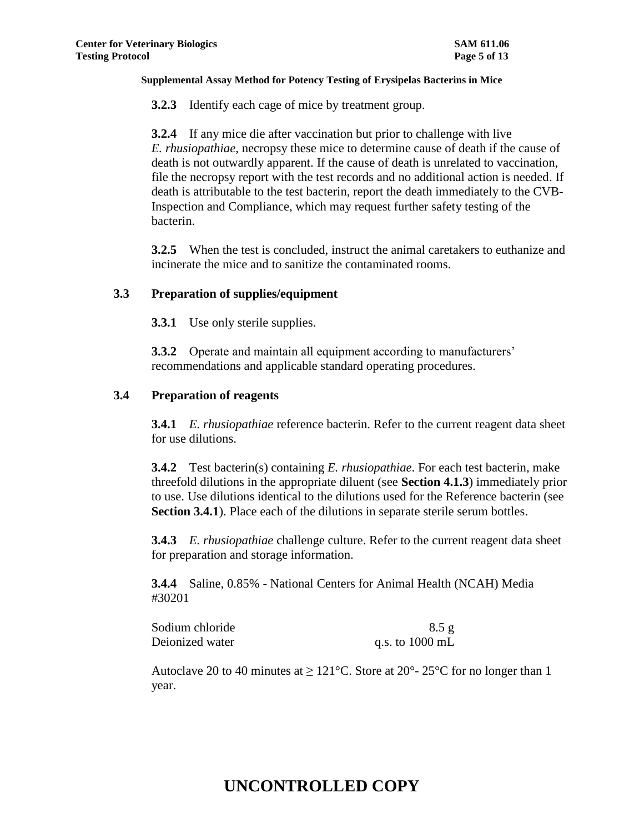**3.2.3** Identify each cage of mice by treatment group.

**3.2.4** If any mice die after vaccination but prior to challenge with live *E. rhusiopathiae*, necropsy these mice to determine cause of death if the cause of death is not outwardly apparent. If the cause of death is unrelated to vaccination, file the necropsy report with the test records and no additional action is needed. If death is attributable to the test bacterin, report the death immediately to the CVB-Inspection and Compliance, which may request further safety testing of the bacterin.

**3.2.5** When the test is concluded, instruct the animal caretakers to euthanize and incinerate the mice and to sanitize the contaminated rooms.

### **3.3 Preparation of supplies/equipment**

**3.3.1** Use only sterile supplies.

**3.3.2** Operate and maintain all equipment according to manufacturers' recommendations and applicable standard operating procedures.

### **3.4 Preparation of reagents**

**3.4.1** *E. rhusiopathiae* reference bacterin. Refer to the current reagent data sheet for use dilutions.

**3.4.2** Test bacterin(s) containing *E. rhusiopathiae*. For each test bacterin, make threefold dilutions in the appropriate diluent (see **Section 4.1.3**) immediately prior to use. Use dilutions identical to the dilutions used for the Reference bacterin (see **Section 3.4.1**). Place each of the dilutions in separate sterile serum bottles.

**3.4.3** *E. rhusiopathiae* challenge culture. Refer to the current reagent data sheet for preparation and storage information.

**3.4.4** Saline, 0.85% - National Centers for Animal Health (NCAH) Media #30201

| Sodium chloride | 8.5 g           |
|-----------------|-----------------|
| Deionized water | q.s. to 1000 mL |

Autoclave 20 to 40 minutes at  $\geq 121^{\circ}$ C. Store at  $20^{\circ}$ - 25°C for no longer than 1 year.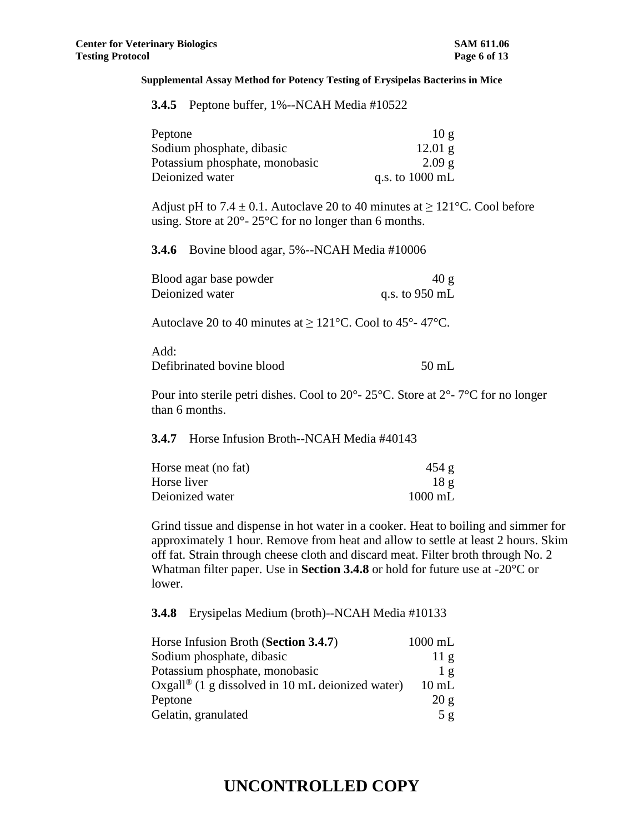| <b>3.4.5</b> Peptone buffer, 1%--NCAH Media #10522 |  |
|----------------------------------------------------|--|
|----------------------------------------------------|--|

| Peptone                        | 10g                       |
|--------------------------------|---------------------------|
| Sodium phosphate, dibasic      | $12.01$ g                 |
| Potassium phosphate, monobasic | 2.09g                     |
| Deionized water                | q.s. to $1000 \text{ mL}$ |

Adjust pH to 7.4  $\pm$  0.1. Autoclave 20 to 40 minutes at  $\geq$  121°C. Cool before using. Store at 20°- 25°C for no longer than 6 months.

**3.4.6** Bovine blood agar, 5%--NCAH Media #10006

| Blood agar base powder | 40 g             |
|------------------------|------------------|
| Deionized water        | q.s. to $950$ mL |

Autoclave 20 to 40 minutes at  $\geq 121^{\circ}$ C. Cool to 45°-47°C.

| Add:                      |         |
|---------------------------|---------|
| Defibrinated bovine blood | $50$ mL |

Pour into sterile petri dishes. Cool to 20°- 25°C. Store at 2°- 7°C for no longer than 6 months.

#### **3.4.7** Horse Infusion Broth--NCAH Media #40143

| Horse meat (no fat) | 454 g             |
|---------------------|-------------------|
| Horse liver         | 18g               |
| Deionized water     | $1000 \text{ mL}$ |

Grind tissue and dispense in hot water in a cooker. Heat to boiling and simmer for approximately 1 hour. Remove from heat and allow to settle at least 2 hours. Skim off fat. Strain through cheese cloth and discard meat. Filter broth through No. 2 Whatman filter paper. Use in **Section 3.4.8** or hold for future use at -20°C or lower.

**3.4.8** Erysipelas Medium (broth)--NCAH Media #10133

| Horse Infusion Broth (Section 3.4.7)                         | $1000$ mL       |
|--------------------------------------------------------------|-----------------|
| Sodium phosphate, dibasic                                    | 11g             |
| Potassium phosphate, monobasic                               | 1g              |
| Oxgall <sup>®</sup> (1 g dissolved in 10 mL deionized water) | $10 \text{ mL}$ |
| Peptone                                                      | 20 g            |
| Gelatin, granulated                                          | 5g              |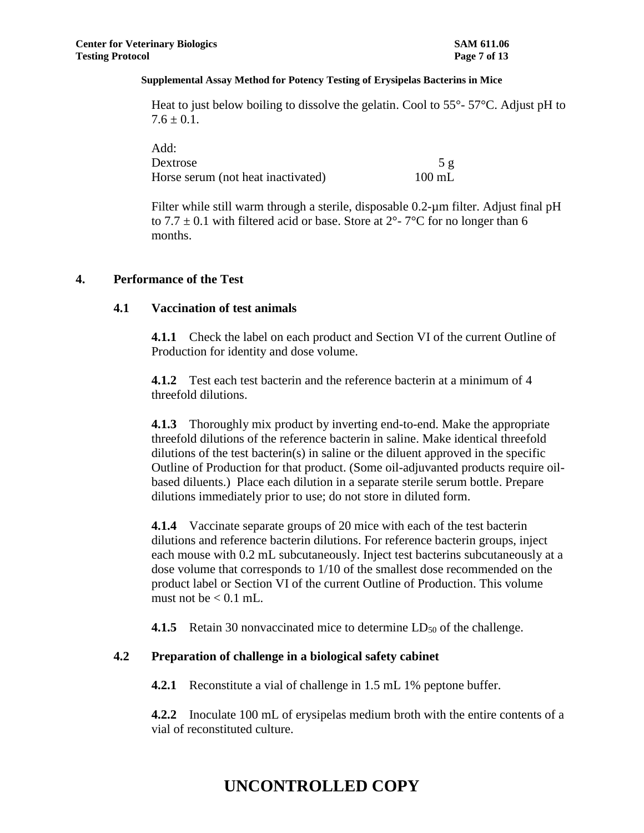Heat to just below boiling to dissolve the gelatin. Cool to  $55^{\circ}$ -  $57^{\circ}$ C. Adjust pH to  $7.6 \pm 0.1$ .

| Add:                               |                  |
|------------------------------------|------------------|
| Dextrose                           | 5 <sub>g</sub>   |
| Horse serum (not heat inactivated) | $100 \text{ mL}$ |

Filter while still warm through a sterile, disposable 0.2-µm filter. Adjust final pH to 7.7  $\pm$  0.1 with filtered acid or base. Store at 2°-7°C for no longer than 6 months.

### **4. Performance of the Test**

### **4.1 Vaccination of test animals**

**4.1.1** Check the label on each product and Section VI of the current Outline of Production for identity and dose volume.

**4.1.2** Test each test bacterin and the reference bacterin at a minimum of 4 threefold dilutions.

**4.1.3** Thoroughly mix product by inverting end-to-end. Make the appropriate threefold dilutions of the reference bacterin in saline. Make identical threefold dilutions of the test bacterin(s) in saline or the diluent approved in the specific Outline of Production for that product. (Some oil-adjuvanted products require oilbased diluents.) Place each dilution in a separate sterile serum bottle. Prepare dilutions immediately prior to use; do not store in diluted form.

**4.1.4** Vaccinate separate groups of 20 mice with each of the test bacterin dilutions and reference bacterin dilutions. For reference bacterin groups, inject each mouse with 0.2 mL subcutaneously. Inject test bacterins subcutaneously at a dose volume that corresponds to 1/10 of the smallest dose recommended on the product label or Section VI of the current Outline of Production. This volume must not be  $< 0.1$  mL.

**4.1.5** Retain 30 nonvaccinated mice to determine  $LD_{50}$  of the challenge.

## **4.2 Preparation of challenge in a biological safety cabinet**

**4.2.1** Reconstitute a vial of challenge in 1.5 mL 1% peptone buffer.

**4.2.2** Inoculate 100 mL of erysipelas medium broth with the entire contents of a vial of reconstituted culture.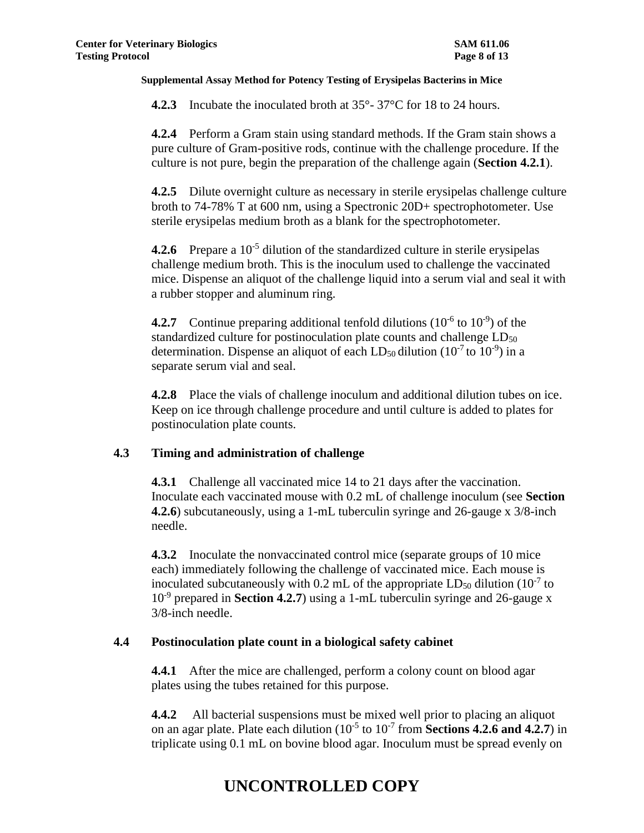**4.2.3** Incubate the inoculated broth at 35°-37°C for 18 to 24 hours.

**4.2.4** Perform a Gram stain using standard methods. If the Gram stain shows a pure culture of Gram-positive rods, continue with the challenge procedure. If the culture is not pure, begin the preparation of the challenge again (**Section 4.2.1**).

**4.2.5** Dilute overnight culture as necessary in sterile erysipelas challenge culture broth to 74-78% T at 600 nm, using a Spectronic 20D+ spectrophotometer. Use sterile erysipelas medium broth as a blank for the spectrophotometer.

4.2.6 Prepare a 10<sup>-5</sup> dilution of the standardized culture in sterile erysipelas challenge medium broth. This is the inoculum used to challenge the vaccinated mice. Dispense an aliquot of the challenge liquid into a serum vial and seal it with a rubber stopper and aluminum ring.

**4.2.7** Continue preparing additional tenfold dilutions  $(10^{-6} \text{ to } 10^{-9})$  of the standardized culture for postinoculation plate counts and challenge  $LD_{50}$ determination. Dispense an aliquot of each LD<sub>50</sub> dilution  $(10^{-7}$  to  $10^{-9})$  in a separate serum vial and seal.

**4.2.8** Place the vials of challenge inoculum and additional dilution tubes on ice. Keep on ice through challenge procedure and until culture is added to plates for postinoculation plate counts.

## **4.3 Timing and administration of challenge**

**4.3.1** Challenge all vaccinated mice 14 to 21 days after the vaccination. Inoculate each vaccinated mouse with 0.2 mL of challenge inoculum (see **Section 4.2.6**) subcutaneously, using a 1-mL tuberculin syringe and 26-gauge x 3/8-inch needle.

**4.3.2** Inoculate the nonvaccinated control mice (separate groups of 10 mice each) immediately following the challenge of vaccinated mice. Each mouse is inoculated subcutaneously with 0.2 mL of the appropriate  $LD_{50}$  dilution (10<sup>-7</sup> to 10<sup>-9</sup> prepared in **Section 4.2.7**) using a 1-mL tuberculin syringe and 26-gauge x 3/8-inch needle.

## **4.4 Postinoculation plate count in a biological safety cabinet**

**4.4.1** After the mice are challenged, perform a colony count on blood agar plates using the tubes retained for this purpose.

**4.4.2** All bacterial suspensions must be mixed well prior to placing an aliquot on an agar plate. Plate each dilution ( $10^{-5}$  to  $10^{-7}$  from **Sections 4.2.6 and 4.2.7**) in triplicate using 0.1 mL on bovine blood agar. Inoculum must be spread evenly on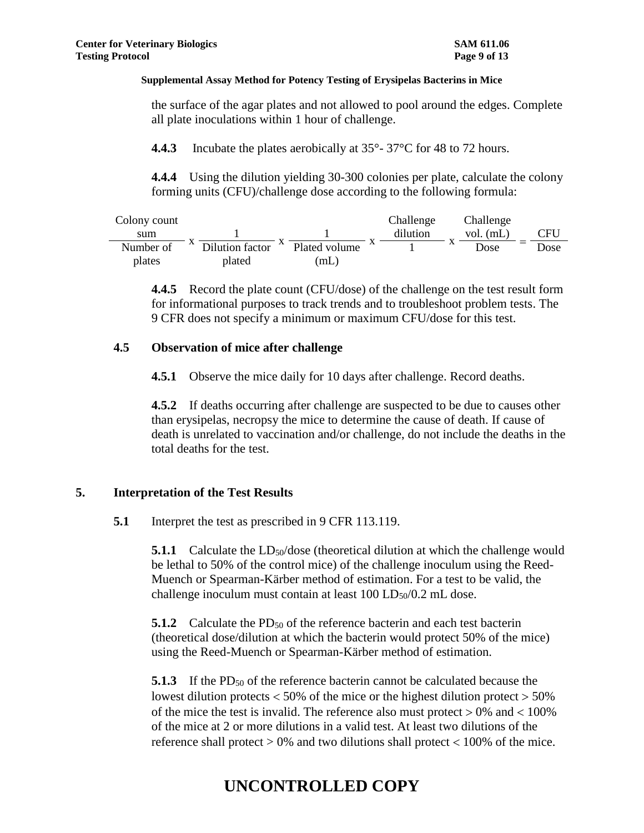the surface of the agar plates and not allowed to pool around the edges. Complete all plate inoculations within 1 hour of challenge.

**4.4.3** Incubate the plates aerobically at 35°-37°C for 48 to 72 hours.

**4.4.4** Using the dilution yielding 30-300 colonies per plate, calculate the colony forming units (CFU)/challenge dose according to the following formula:

| Colony count |                 |               | Challenge | Challenge   |      |
|--------------|-----------------|---------------|-----------|-------------|------|
| sum          |                 |               | dilution  | vol. $(mL)$ | CFU  |
| Number of    | Dilution factor | Plated volume |           | Dose        | Dose |
| plates       | plated          | (mL)          |           |             |      |

**4.4.5** Record the plate count (CFU/dose) of the challenge on the test result form for informational purposes to track trends and to troubleshoot problem tests. The 9 CFR does not specify a minimum or maximum CFU/dose for this test.

### **4.5 Observation of mice after challenge**

**4.5.1** Observe the mice daily for 10 days after challenge. Record deaths.

**4.5.2** If deaths occurring after challenge are suspected to be due to causes other than erysipelas, necropsy the mice to determine the cause of death. If cause of death is unrelated to vaccination and/or challenge, do not include the deaths in the total deaths for the test.

## **5. Interpretation of the Test Results**

**5.1** Interpret the test as prescribed in 9 CFR 113.119.

**5.1.1** Calculate the  $LD<sub>50</sub>/dose$  (theoretical dilution at which the challenge would be lethal to 50% of the control mice) of the challenge inoculum using the Reed-Muench or Spearman-Kärber method of estimation. For a test to be valid, the challenge inoculum must contain at least  $100 \text{ LD}_{50}/0.2 \text{ mL}$  dose.

**5.1.2** Calculate the PD<sub>50</sub> of the reference bacterin and each test bacterin (theoretical dose/dilution at which the bacterin would protect 50% of the mice) using the Reed-Muench or Spearman-Kärber method of estimation.

**5.1.3** If the PD<sub>50</sub> of the reference bacterin cannot be calculated because the lowest dilution protects  $<$  50% of the mice or the highest dilution protect  $>$  50% of the mice the test is invalid. The reference also must protect  $> 0\%$  and  $< 100\%$ of the mice at 2 or more dilutions in a valid test. At least two dilutions of the reference shall protect  $> 0\%$  and two dilutions shall protect  $< 100\%$  of the mice.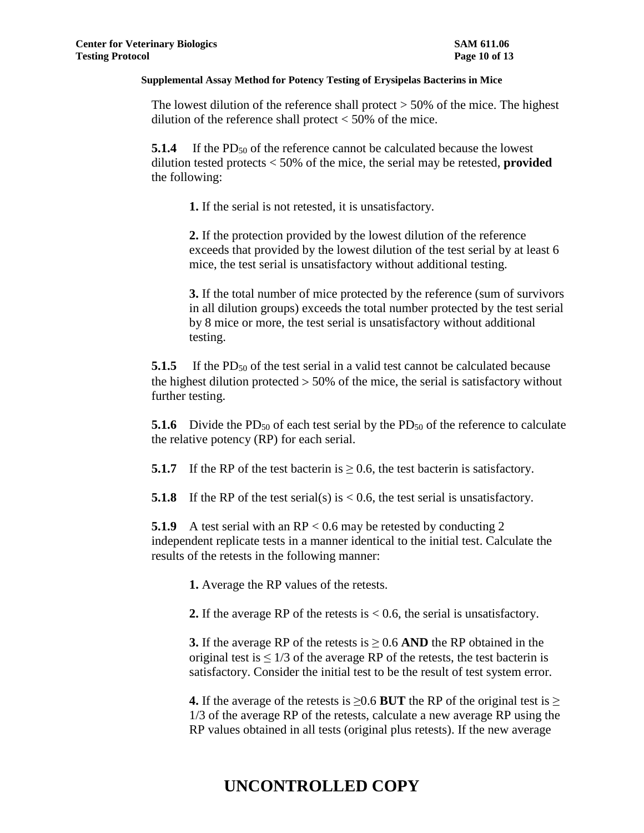The lowest dilution of the reference shall protect  $> 50\%$  of the mice. The highest dilution of the reference shall protect  $<$  50% of the mice.

**5.1.4** If the PD<sub>50</sub> of the reference cannot be calculated because the lowest dilution tested protects < 50% of the mice, the serial may be retested, **provided** the following:

**1.** If the serial is not retested, it is unsatisfactory.

**2.** If the protection provided by the lowest dilution of the reference exceeds that provided by the lowest dilution of the test serial by at least 6 mice, the test serial is unsatisfactory without additional testing.

**3.** If the total number of mice protected by the reference (sum of survivors in all dilution groups) exceeds the total number protected by the test serial by 8 mice or more, the test serial is unsatisfactory without additional testing.

**5.1.5** If the PD<sub>50</sub> of the test serial in a valid test cannot be calculated because the highest dilution protected  $> 50\%$  of the mice, the serial is satisfactory without further testing.

**5.1.6** Divide the PD<sub>50</sub> of each test serial by the PD<sub>50</sub> of the reference to calculate the relative potency (RP) for each serial.

**5.1.7** If the RP of the test bacterin is  $\geq$  0.6, the test bacterin is satisfactory.

**5.1.8** If the RP of the test serial(s) is  $< 0.6$ , the test serial is unsatisfactory.

**5.1.9** A test serial with an RP < 0.6 may be retested by conducting 2 independent replicate tests in a manner identical to the initial test. Calculate the results of the retests in the following manner:

**1.** Average the RP values of the retests.

**2.** If the average RP of the retests is < 0.6, the serial is unsatisfactory.

**3.** If the average RP of the retests is  $\geq 0.6$  AND the RP obtained in the original test is  $\leq 1/3$  of the average RP of the retests, the test bacterin is satisfactory. Consider the initial test to be the result of test system error.

**4.** If the average of the retests is  $\geq$ 0.6 **BUT** the RP of the original test is  $\geq$ 1/3 of the average RP of the retests, calculate a new average RP using the RP values obtained in all tests (original plus retests). If the new average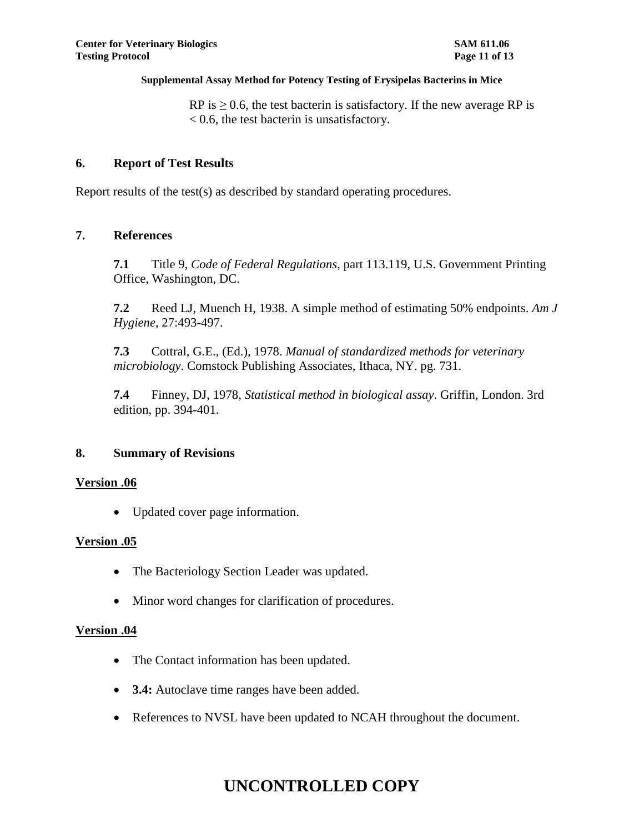RP is  $\geq$  0.6, the test bacterin is satisfactory. If the new average RP is < 0.6, the test bacterin is unsatisfactory.

## **6. Report of Test Results**

Report results of the test(s) as described by standard operating procedures.

### **7. References**

**7.1** Title 9, *Code of Federal Regulations*, part 113.119, U.S. Government Printing Office, Washington, DC.

**7.2** Reed LJ, Muench H, 1938. A simple method of estimating 50% endpoints. *Am J Hygiene*, 27:493-497.

**7.3** Cottral, G.E., (Ed.), 1978. *Manual of standardized methods for veterinary microbiology*. Comstock Publishing Associates, Ithaca, NY. pg. 731.

**7.4** Finney, DJ, 1978, *Statistical method in biological assay*. Griffin, London. 3rd edition, pp. 394-401.

### **8. Summary of Revisions**

### **Version .06**

Updated cover page information.

### **Version .05**

- The Bacteriology Section Leader was updated.
- Minor word changes for clarification of procedures.

### **Version .04**

- The Contact information has been updated.
- **3.4:** Autoclave time ranges have been added.
- References to NVSL have been updated to NCAH throughout the document.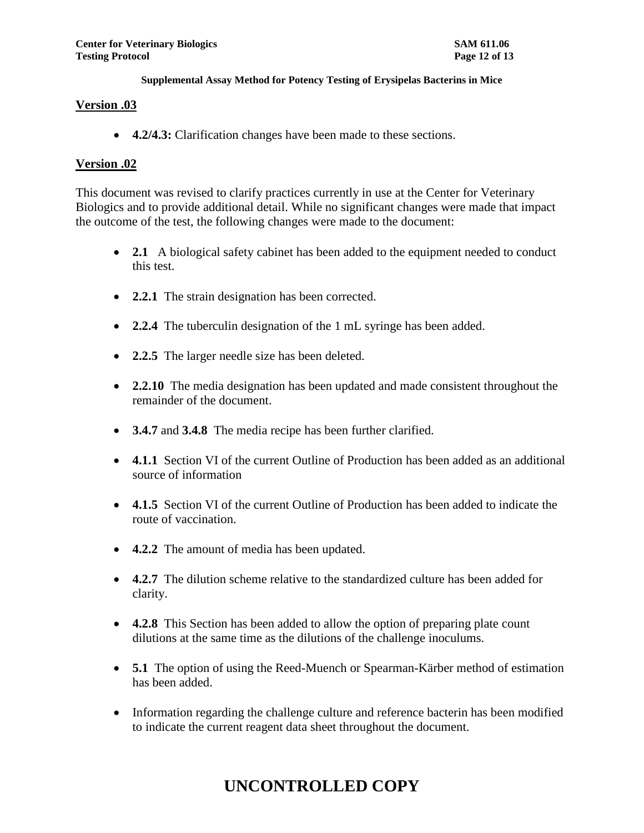### **Version .03**

**4.2/4.3:** Clarification changes have been made to these sections.

## **Version .02**

This document was revised to clarify practices currently in use at the Center for Veterinary Biologics and to provide additional detail. While no significant changes were made that impact the outcome of the test, the following changes were made to the document:

- 2.1 A biological safety cabinet has been added to the equipment needed to conduct this test.
- **2.2.1** The strain designation has been corrected.
- **2.2.4** The tuberculin designation of the 1 mL syringe has been added.
- 2.2.5 The larger needle size has been deleted.
- **2.2.10** The media designation has been updated and made consistent throughout the remainder of the document.
- **3.4.7** and **3.4.8** The media recipe has been further clarified.
- **4.1.1** Section VI of the current Outline of Production has been added as an additional source of information
- **4.1.5** Section VI of the current Outline of Production has been added to indicate the route of vaccination.
- **4.2.2** The amount of media has been updated.
- **4.2.7** The dilution scheme relative to the standardized culture has been added for clarity.
- **4.2.8** This Section has been added to allow the option of preparing plate count dilutions at the same time as the dilutions of the challenge inoculums.
- **5.1** The option of using the Reed-Muench or Spearman-Kärber method of estimation has been added.
- Information regarding the challenge culture and reference bacterin has been modified to indicate the current reagent data sheet throughout the document.